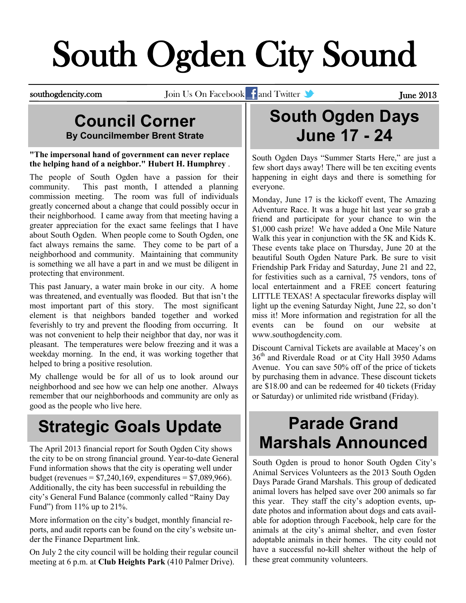# South Ogden City Sound

southogdencity.com Join Us On Facebook and Twitter **of the Security Constant Constant Constant Constant Constant** 

#### **Council Corner By Councilmember Brent Strate**

#### **["The impersonal hand of government can never replace](http://quotationsbook.com/quote/28130/)  [the helping hand of a neighbor." H](http://quotationsbook.com/quote/28130/)ubert H. [Humphrey](http://quotationsbook.com/quotes/author/3643/)** .

The people of South Ogden have a passion for their community. This past month, I attended a planning commission meeting. The room was full of individuals greatly concerned about a change that could possibly occur in their neighborhood. I came away from that meeting having a greater appreciation for the exact same feelings that I have about South Ogden. When people come to South Ogden, one fact always remains the same. They come to be part of a neighborhood and community. Maintaining that community is something we all have a part in and we must be diligent in protecting that environment.

This past January, a water main broke in our city. A home was threatened, and eventually was flooded. But that isn't the most important part of this story. The most significant element is that neighbors banded together and worked feverishly to try and prevent the flooding from occurring. It was not convenient to help their neighbor that day, nor was it pleasant. The temperatures were below freezing and it was a weekday morning. In the end, it was working together that helped to bring a positive resolution.

My challenge would be for all of us to look around our neighborhood and see how we can help one another. Always remember that our neighborhoods and community are only as good as the people who live here.

## **Strategic Goals Update**

The April 2013 financial report for South Ogden City shows the city to be on strong financial ground. Year-to-date General Fund information shows that the city is operating well under budget (revenues =  $$7,240,169$ , expenditures =  $$7,089,966$ ). Additionally, the city has been successful in rebuilding the city's General Fund Balance (commonly called "Rainy Day Fund") from  $11\%$  up to  $21\%$ .

More information on the city's budget, monthly financial reports, and audit reports can be found on the city's website under the Finance Department link.

On July 2 the city council will be holding their regular council meeting at 6 p.m. at **Club Heights Park** (410 Palmer Drive).

#### **South Ogden Days June 17 - 24**

South Ogden Days "Summer Starts Here," are just a few short days away! There will be ten exciting events happening in eight days and there is something for everyone.

Monday, June 17 is the kickoff event, The Amazing Adventure Race. It was a huge hit last year so grab a friend and participate for your chance to win the \$1,000 cash prize! We have added a One Mile Nature Walk this year in conjunction with the 5K and Kids K. These events take place on Thursday, June 20 at the beautiful South Ogden Nature Park. Be sure to visit Friendship Park Friday and Saturday, June 21 and 22, for festivities such as a carnival, 75 vendors, tons of local entertainment and a FREE concert featuring LITTLE TEXAS! A spectacular fireworks display will light up the evening Saturday Night, June 22, so don't miss it! More information and registration for all the events can be found on our website at [www.southogdencity.com.](http://www.southogdencity.com)

Discount Carnival Tickets are available at Macey's on 36th and Riverdale Road or at City Hall 3950 Adams Avenue. You can save 50% off of the price of tickets by purchasing them in advance. These discount tickets are \$18.00 and can be redeemed for 40 tickets (Friday or Saturday) or unlimited ride wristband (Friday).

### **Parade Grand Marshals Announced**

South Ogden is proud to honor South Ogden City's Animal Services Volunteers as the 2013 South Ogden Days Parade Grand Marshals. This group of dedicated animal lovers has helped save over 200 animals so far this year. They staff the city's adoption events, update photos and information about dogs and cats available for adoption through Facebook, help care for the animals at the city's animal shelter, and even foster adoptable animals in their homes. The city could not have a successful no-kill shelter without the help of these great community volunteers.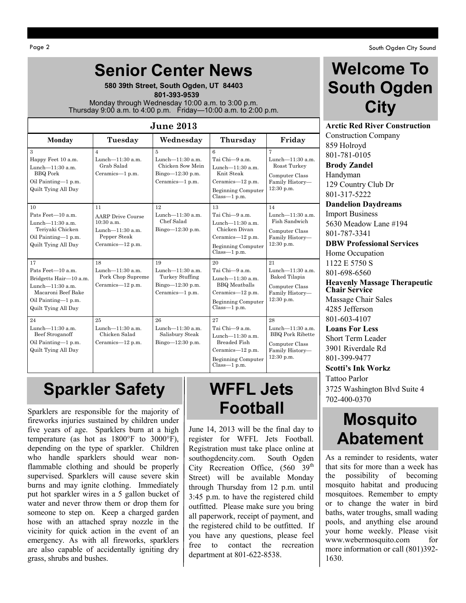### **Senior Center News**

**580 39th Street, South Ogden, UT 84403**  **801-393-9539** Monday through Wednesday 10:00 a.m. to 3:00 p.m. Thursday 9:00 a.m. to 4:00 p.m. Friday—10:00 a.m. to 2:00 p.m.

| <b>June 2013</b>                                                                                                                             |                                                                                                           |                                                                                       |                                                                                                                                     |                                                                                                            |  |  |
|----------------------------------------------------------------------------------------------------------------------------------------------|-----------------------------------------------------------------------------------------------------------|---------------------------------------------------------------------------------------|-------------------------------------------------------------------------------------------------------------------------------------|------------------------------------------------------------------------------------------------------------|--|--|
| <b>Monday</b>                                                                                                                                | Tuesday                                                                                                   | Wednesday                                                                             | Thursday                                                                                                                            | Friday                                                                                                     |  |  |
| $\mathbf{a}$<br>Happy Feet 10 a.m.<br>Lunch- $11:30$ a.m.<br><b>BBQ</b> Pork<br>Oil Painting-1 p.m.<br>Quilt Tying All Day                   | $\overline{4}$<br>Lunch- $11:30$ a.m.<br>Grab Salad<br>Ceramics-1 p.m.                                    | 5<br>Lunch- $11:30$ a.m.<br>Chicken Sow Mein<br>$Bingo-12:30 p.m.$<br>Ceramics-1 p.m. | 6<br>Tai Chi-9 a.m.<br>Lunch- $11:30$ a.m.<br>Knit Steak<br>Ceramics-12 p.m.<br>Beginning Computer<br>$Class-1 p.m.$                | $\overline{7}$<br>Lunch- $11:30$ a.m.<br>Roast Turkey<br>Computer Class<br>Family History-<br>$12:30$ p.m. |  |  |
| 10<br>Pats Feet-10 a.m.<br>Lunch-11:30 a.m.<br>Teriyaki Chicken<br>Oil Painting-1 p.m.<br>Quilt Tying All Day                                | 11<br><b>AARP</b> Drive Course<br>$10:30$ a.m.<br>Lunch $-11:30$ a.m.<br>Pepper Steak<br>Ceramics-12 p.m. | 12<br>Lunch- $11:30$ a.m.<br>Chef Salad<br>$Bingo=12:30 p.m.$                         | 13<br>Tai Chi-9 a.m.<br>Lunch- $11:30$ a.m.<br>Chicken Divan<br>Ceramics-12 p.m.<br>Beginning Computer<br>$Class-1 p.m.$            | 14<br>Lunch- $11:30$ a.m.<br>Fish Sandwich<br>Computer Class<br>Family History-<br>12:30 p.m.              |  |  |
| 17<br>Pats Feet-10 a.m.<br>Bridgetts Hair-10 a.m.<br>Lunch- $11:30$ a.m.<br>Macaroni Beef Bake<br>Oil Painting-1 p.m.<br>Quilt Tying All Day | 18<br>Lunch-11:30 a.m.<br>Pork Chop Supreme<br>Ceramics- $12$ p.m.                                        | 19<br>Lunch- $11:30$ a.m.<br>Turkey Stuffing<br>$Bingo=12:30 p.m.$<br>Ceramics-1 p.m. | 20<br>Tai Chi-9 a.m.<br>Lunch-11:30 a.m.<br><b>BBQ</b> Meatballs<br>Ceramics-12 p.m.<br><b>Beginning Computer</b><br>$Class-1 p.m.$ | 21<br>Lunch- $11:30$ a.m.<br>Baked Tilapia<br>Computer Class<br>Family History-<br>12:30 p.m.              |  |  |
| 24<br>Lunch- $11:30$ a.m.<br>Beef Stroganoff<br>Oil Painting-1 p.m.<br>Quilt Tying All Day                                                   | 25<br>Lunch- $11:30$ a.m.<br>Chicken Salad<br>Ceramics-12 p.m.                                            | 26<br>Lunch- $11:30$ a.m.<br>Salisbury Steak<br>Bingo $-12:30$ p.m.                   | 27<br>Tai Chi-9 a.m.<br>Lunch- $11:30$ a.m.<br>Breaded Fish<br>Ceramics-12 p.m.<br><b>Beginning Computer</b><br>$Class-1 p.m.$      | 28<br>Lunch- $11:30$ a.m.<br><b>BBQ Pork Ribette</b><br>Computer Class<br>Family History-<br>12:30 p.m.    |  |  |

#### **Sparkler Safety**

Sparklers are responsible for the majority of fireworks injuries sustained by children under five years of age. Sparklers burn at a high temperature (as hot as 1800[°F](http://en.wikipedia.org/wiki/Fahrenheit) to 3000[°F\)](http://en.wikipedia.org/wiki/Fahrenheit), depending on the type of sparkler. Children who handle sparklers should wear [non](http://en.wikipedia.org/wiki/Flammability)[flammable](http://en.wikipedia.org/wiki/Flammability) [clothing](http://en.wikipedia.org/wiki/Clothing) and should be properly supervised. Sparklers will cause severe skin burns and may ignite clothing. Immediately put hot sparkler wires in a 5 gallon bucket of water and never throw them or drop them for someone to step on. Keep a charged garden hose with an attached spray nozzle in the vicinity for quick action in the event of an emergency. As with all fireworks, sparklers are also capable of accidentally igniting dry grass, shrubs and bushes.

# **Football**

June 14, 2013 will be the final day to register for WFFL Jets Football. Registration must take place online at southogdencity.com. South Ogden City Recreation Office,  $(560 \quad 39<sup>th</sup>)$ Street) will be available Monday through Thursday from 12 p.m. until 3:45 p.m. to have the registered child outfitted. Please make sure you bring all paperwork, receipt of payment, and the registered child to be outfitted. If you have any questions, please feel free to contact the recreation department at 801-622-8538.

#### **Welcome To South Ogden City**

**Arctic Red River Construction** Construction Company 859 Holroyd 801-781-0105 **Brody Zandel** Handyman 129 Country Club Dr 801-317-5222 **Dandelion Daydreams** Import Business 5630 Meadow Lane #194 801-787-3341 **DBW Professional Services** Home Occupation 1122 E 5750 S 801-698-6560 **Heavenly Massage Therapeutic Chair Service** Massage Chair Sales 4285 Jefferson 801-603-4107 **Loans For Less** Short Term Leader 3901 Riverdale Rd 801-399-9477 **Scotti's Ink Workz** Tattoo Parlor **WFFL Jets**  $\begin{array}{|c|c|} \hline 3725 \text{ Washington Blvd Suite 4} \\ \hline 702-400-0370 \hline \end{array}$ 

#### **Mosquito Abatement**

As a reminder to residents, water that sits for more than a week has the possibility of becoming mosquito habitat and producing mosquitoes. Remember to empty or to change the water in bird baths, water troughs, small wading pools, and anything else around your home weekly. Please visit [www.webermosquito.com](http://www.webermosquito.com) for more information or call (801)392- 1630.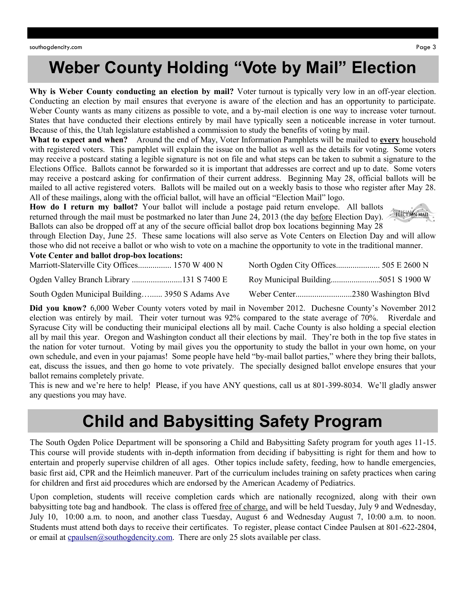#### **Weber County Holding "Vote by Mail" Election**

**Why is Weber County conducting an election by mail?** Voter turnout is typically very low in an off-year election. Conducting an election by mail ensures that everyone is aware of the election and has an opportunity to participate. Weber County wants as many citizens as possible to vote, and a by-mail election is one way to increase voter turnout. States that have conducted their elections entirely by mail have typically seen a noticeable increase in voter turnout. Because of this, the Utah legislature established a commission to study the benefits of voting by mail.

**What to expect and when?** Around the end of May, Voter Information Pamphlets will be mailed to **every** household with registered voters. This pamphlet will explain the issue on the ballot as well as the details for voting. Some voters may receive a postcard stating a legible signature is not on file and what steps can be taken to submit a signature to the Elections Office. Ballots cannot be forwarded so it is important that addresses are correct and up to date. Some voters may receive a postcard asking for confirmation of their current address. Beginning May 28, official ballots will be mailed to all active registered voters. Ballots will be mailed out on a weekly basis to those who register after May 28. All of these mailings, along with the official ballot, will have an official "Election Mail" logo.

**How do I return my ballot?** Your ballot will include a postage paid return envelope. All ballots returned through the mail must be postmarked no later than June 24, 2013 (the day before Election Day). Ballots can also be dropped off at any of the secure official ballot drop box locations beginning May 28



through Election Day, June 25. These same locations will also serve as Vote Centers on Election Day and will allow those who did not receive a ballot or who wish to vote on a machine the opportunity to vote in the traditional manner.

**Vote Center and ballot drop-box locations:**

| Marriott-Slaterville City Offices 1570 W 400 N  |  |
|-------------------------------------------------|--|
|                                                 |  |
| South Ogden Municipal Building 3950 S Adams Ave |  |

**Did you know?** 6,000 Weber County voters voted by mail in November 2012. Duchesne County's November 2012 election was entirely by mail. Their voter turnout was 92% compared to the state average of 70%. Riverdale and Syracuse City will be conducting their municipal elections all by mail. Cache County is also holding a special election all by mail this year. Oregon and Washington conduct all their elections by mail. They're both in the top five states in the nation for voter turnout. Voting by mail gives you the opportunity to study the ballot in your own home, on your own schedule, and even in your pajamas! Some people have held "by-mail ballot parties," where they bring their ballots, eat, discuss the issues, and then go home to vote privately. The specially designed ballot envelope ensures that your ballot remains completely private.

This is new and we're here to help! Please, if you have ANY questions, call us at 801-399-8034. We'll gladly answer any questions you may have.

#### **Child and Babysitting Safety Program**

The South Ogden Police Department will be sponsoring a Child and Babysitting Safety program for youth ages 11-15. This course will provide students with in-depth information from deciding if babysitting is right for them and how to entertain and properly supervise children of all ages. Other topics include safety, feeding, how to handle emergencies, basic first aid, CPR and the Heimlich maneuver. Part of the curriculum includes training on safety practices when caring for children and first aid procedures which are endorsed by the American Academy of Pediatrics.

Upon completion, students will receive completion cards which are nationally recognized, along with their own babysitting tote bag and handbook. The class is offered free of charge, and will be held Tuesday, July 9 and Wednesday, July 10, 10:00 a.m. to noon, and another class Tuesday, August 6 and Wednesday August 7, 10:00 a.m. to noon. Students must attend both days to receive their certificates. To register, please contact Cindee Paulsen at 801-622-2804, or email at [cpaulsen@southogdencity.com.](mailto:cpaulsen@southogdencity.com) There are only 25 slots available per class.